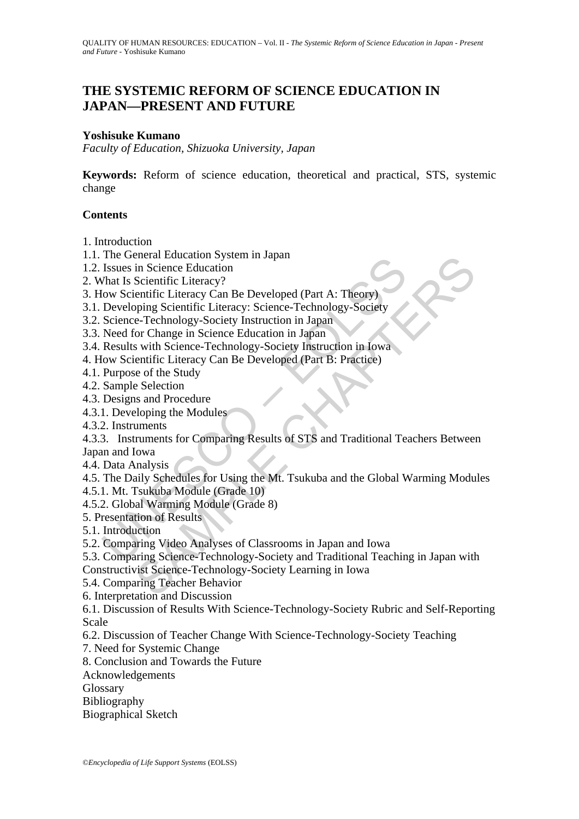# **THE SYSTEMIC REFORM OF SCIENCE EDUCATION IN JAPAN—PRESENT AND FUTURE**

#### **Yoshisuke Kumano**

*Faculty of Education, Shizuoka University, Japan* 

**Keywords:** Reform of science education, theoretical and practical, STS, systemic change

#### **Contents**

1. Introduction

- 1.1. The General Education System in Japan
- 1.2. Issues in Science Education
- 2. What Is Scientific Literacy?
- 3. How Scientific Literacy Can Be Developed (Part A: Theory)
- 3.1. Developing Scientific Literacy: Science-Technology-Society
- 3.2. Science-Technology-Society Instruction in Japan
- 3.3. Need for Change in Science Education in Japan
- 3.4. Results with Science-Technology-Society Instruction in Iowa
- 4. How Scientific Literacy Can Be Developed (Part B: Practice)
- 4.1. Purpose of the Study
- 4.2. Sample Selection
- 4.3. Designs and Procedure
- 4.3.1. Developing the Modules
- 4.3.2. Instruments

The Glenta Loudation System In Japan<br>
Issues in Scientific Literacy?<br>
Issues in Scientific Literacy?<br>
Oow Scientific Literacy?<br>
Developing Scientific Literacy: Science-Technology-Society<br>
Developing Scientific Literacy: Sc eneral enuclator System in Japan<br>
in Scientific Literacy?<br>
in Scientific Literacy?<br>
Dim Scientific Literacy?<br>
Setembric Literacy Can Be Developed (Part A: Theory)<br>  $\sigma$ -Technology-Society Instruction in Japan<br>
or Change in 4.3.3. Instruments for Comparing Results of STS and Traditional Teachers Between Japan and Iowa

- 4.4. Data Analysis
- 4.5. The Daily Schedules for Using the Mt. Tsukuba and the Global Warming Modules
- 4.5.1. Mt. Tsukuba Module (Grade 10)
- 4.5.2. Global Warming Module (Grade 8)
- 5. Presentation of Results
- 5.1. Introduction
- 5.2. Comparing Video Analyses of Classrooms in Japan and Iowa
- 5.3. Comparing Science-Technology-Society and Traditional Teaching in Japan with Constructivist Science-Technology-Society Learning in Iowa
- 5.4. Comparing Teacher Behavior
- 6. Interpretation and Discussion

6.1. Discussion of Results With Science-Technology-Society Rubric and Self-Reporting Scale

- 6.2. Discussion of Teacher Change With Science-Technology-Society Teaching
- 7. Need for Systemic Change
- 8. Conclusion and Towards the Future
- Acknowledgements
- Glossary
- Bibliography
- Biographical Sketch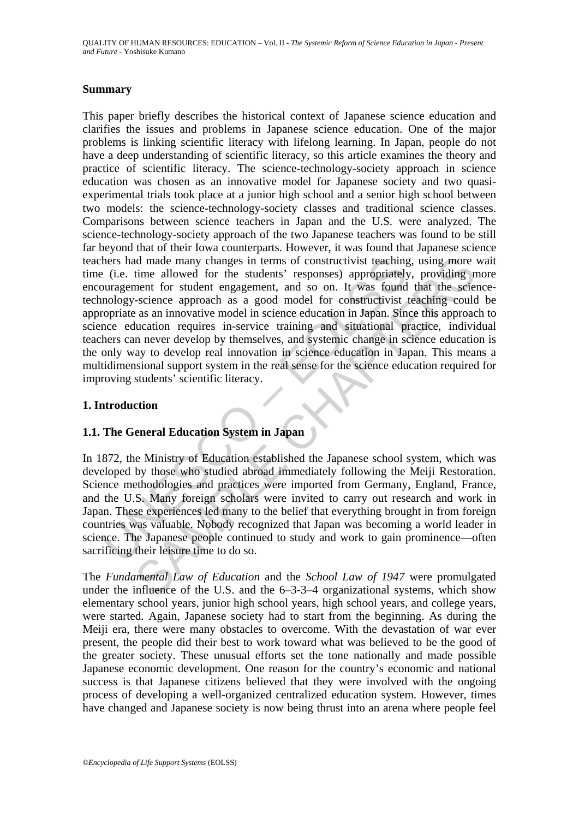#### **Summary**

hers had made many changes in terms of constructivist teaching<br>
(i.e. time allowed for the students' responses) appropriately<br>
unargement for student engagement, and so on . It was found<br>
unology-science approach as a good d made many changes in terms of constructivist teaching, using more<br>time allowed for the students' responses, appropriately, providing in<br>ment for student engagement, and so on. It was found that the sete-<br>science approac This paper briefly describes the historical context of Japanese science education and clarifies the issues and problems in Japanese science education. One of the major problems is linking scientific literacy with lifelong learning. In Japan, people do not have a deep understanding of scientific literacy, so this article examines the theory and practice of scientific literacy. The science-technology-society approach in science education was chosen as an innovative model for Japanese society and two quasiexperimental trials took place at a junior high school and a senior high school between two models: the science-technology-society classes and traditional science classes. Comparisons between science teachers in Japan and the U.S. were analyzed. The science-technology-society approach of the two Japanese teachers was found to be still far beyond that of their Iowa counterparts. However, it was found that Japanese science teachers had made many changes in terms of constructivist teaching, using more wait time (i.e. time allowed for the students' responses) appropriately, providing more encouragement for student engagement, and so on. It was found that the sciencetechnology-science approach as a good model for constructivist teaching could be appropriate as an innovative model in science education in Japan. Since this approach to science education requires in-service training and situational practice, individual teachers can never develop by themselves, and systemic change in science education is the only way to develop real innovation in science education in Japan. This means a multidimensional support system in the real sense for the science education required for improving students' scientific literacy.

#### **1. Introduction**

### **1.1. The General Education System in Japan**

In 1872, the Ministry of Education established the Japanese school system, which was developed by those who studied abroad immediately following the Meiji Restoration. Science methodologies and practices were imported from Germany, England, France, and the U.S. Many foreign scholars were invited to carry out research and work in Japan. These experiences led many to the belief that everything brought in from foreign countries was valuable. Nobody recognized that Japan was becoming a world leader in science. The Japanese people continued to study and work to gain prominence—often sacrificing their leisure time to do so.

The *Fundamental Law of Education* and the *School Law of 1947* were promulgated under the influence of the U.S. and the 6–3-3–4 organizational systems, which show elementary school years, junior high school years, high school years, and college years, were started. Again, Japanese society had to start from the beginning. As during the Meiji era, there were many obstacles to overcome. With the devastation of war ever present, the people did their best to work toward what was believed to be the good of the greater society. These unusual efforts set the tone nationally and made possible Japanese economic development. One reason for the country's economic and national success is that Japanese citizens believed that they were involved with the ongoing process of developing a well-organized centralized education system. However, times have changed and Japanese society is now being thrust into an arena where people feel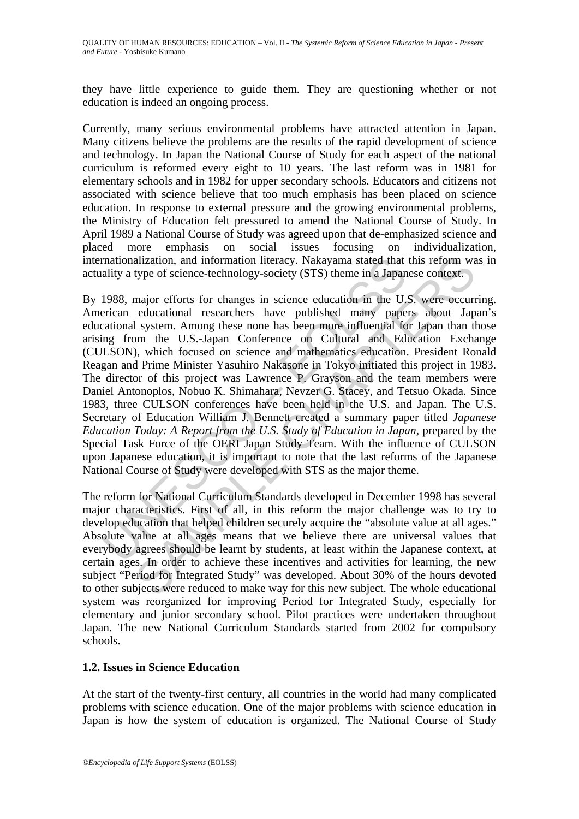they have little experience to guide them. They are questioning whether or not education is indeed an ongoing process.

Currently, many serious environmental problems have attracted attention in Japan. Many citizens believe the problems are the results of the rapid development of science and technology. In Japan the National Course of Study for each aspect of the national curriculum is reformed every eight to 10 years. The last reform was in 1981 for elementary schools and in 1982 for upper secondary schools. Educators and citizens not associated with science believe that too much emphasis has been placed on science education. In response to external pressure and the growing environmental problems, the Ministry of Education felt pressured to amend the National Course of Study. In April 1989 a National Course of Study was agreed upon that de-emphasized science and placed more emphasis on social issues focusing on individualization, internationalization, and information literacy. Nakayama stated that this reform was in actuality a type of science-technology-society (STS) theme in a Japanese context.

rnationalization, and information literacy. Nakayama stated that<br>ality a type of science-technology-society (STS) theme in a Japan<br>1988, major efforts for changes in science education in the U,<br>erican educational researche alization, and information literacy. Nakayama stated that this reform waype of science-technology-society (STS) theme in a Japanese context.<br>major efforts for changes in science education in the U.S. were occurreducational By 1988, major efforts for changes in science education in the U.S. were occurring. American educational researchers have published many papers about Japan's educational system. Among these none has been more influential for Japan than those arising from the U.S.-Japan Conference on Cultural and Education Exchange (CULSON), which focused on science and mathematics education. President Ronald Reagan and Prime Minister Yasuhiro Nakasone in Tokyo initiated this project in 1983. The director of this project was Lawrence P. Grayson and the team members were Daniel Antonoplos, Nobuo K. Shimahara, Nevzer G. Stacey, and Tetsuo Okada. Since 1983, three CULSON conferences have been held in the U.S. and Japan. The U.S. Secretary of Education William J. Bennett created a summary paper titled *Japanese Education Today: A Report from the U.S. Study of Education in Japan*, prepared by the Special Task Force of the OERI Japan Study Team. With the influence of CULSON upon Japanese education, it is important to note that the last reforms of the Japanese National Course of Study were developed with STS as the major theme.

The reform for National Curriculum Standards developed in December 1998 has several major characteristics. First of all, in this reform the major challenge was to try to develop education that helped children securely acquire the "absolute value at all ages." Absolute value at all ages means that we believe there are universal values that everybody agrees should be learnt by students, at least within the Japanese context, at certain ages. In order to achieve these incentives and activities for learning, the new subject "Period for Integrated Study" was developed. About 30% of the hours devoted to other subjects were reduced to make way for this new subject. The whole educational system was reorganized for improving Period for Integrated Study, especially for elementary and junior secondary school. Pilot practices were undertaken throughout Japan. The new National Curriculum Standards started from 2002 for compulsory schools.

### **1.2. Issues in Science Education**

At the start of the twenty-first century, all countries in the world had many complicated problems with science education. One of the major problems with science education in Japan is how the system of education is organized. The National Course of Study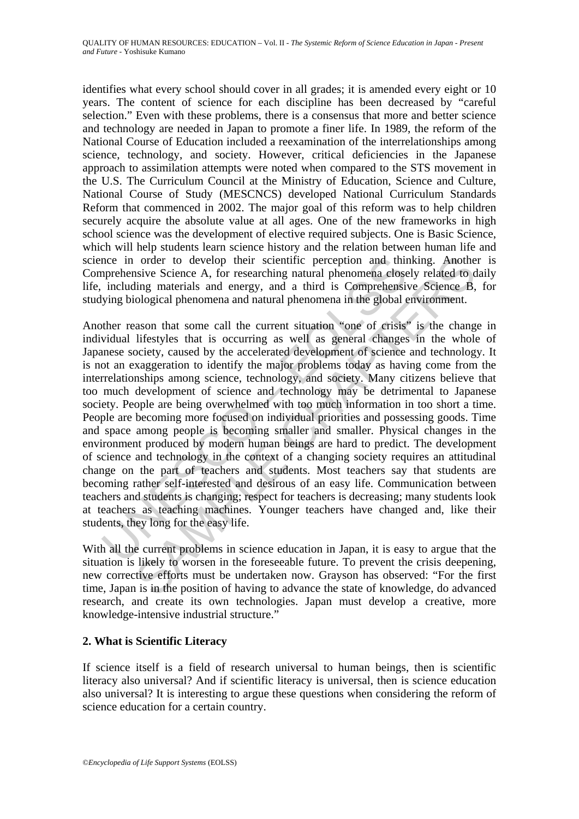identifies what every school should cover in all grades; it is amended every eight or 10 years. The content of science for each discipline has been decreased by "careful selection." Even with these problems, there is a consensus that more and better science and technology are needed in Japan to promote a finer life. In 1989, the reform of the National Course of Education included a reexamination of the interrelationships among science, technology, and society. However, critical deficiencies in the Japanese approach to assimilation attempts were noted when compared to the STS movement in the U.S. The Curriculum Council at the Ministry of Education, Science and Culture, National Course of Study (MESCNCS) developed National Curriculum Standards Reform that commenced in 2002. The major goal of this reform was to help children securely acquire the absolute value at all ages. One of the new frameworks in high school science was the development of elective required subjects. One is Basic Science, which will help students learn science history and the relation between human life and science in order to develop their scientific perception and thinking. Another is Comprehensive Science A, for researching natural phenomena closely related to daily life, including materials and energy, and a third is Comprehensive Science B, for studying biological phenomena and natural phenomena in the global environment.

nce in order to develop their scientific perception and thin prehensive Science A, for researching natural phenomena close including materials and energy, and a third is Comprehensiving biological phenomena and natural phe order to develop their scientific perception and thinking. Anothe<br>sivic Science A, for researching natural phenomena elosely related to<br>ting materials and energy, and a third is Comprehensive Science B,<br>ological phenomena Another reason that some call the current situation "one of crisis" is the change in individual lifestyles that is occurring as well as general changes in the whole of Japanese society, caused by the accelerated development of science and technology. It is not an exaggeration to identify the major problems today as having come from the interrelationships among science, technology, and society. Many citizens believe that too much development of science and technology may be detrimental to Japanese society. People are being overwhelmed with too much information in too short a time. People are becoming more focused on individual priorities and possessing goods. Time and space among people is becoming smaller and smaller. Physical changes in the environment produced by modern human beings are hard to predict. The development of science and technology in the context of a changing society requires an attitudinal change on the part of teachers and students. Most teachers say that students are becoming rather self-interested and desirous of an easy life. Communication between teachers and students is changing; respect for teachers is decreasing; many students look at teachers as teaching machines. Younger teachers have changed and, like their students, they long for the easy life.

With all the current problems in science education in Japan, it is easy to argue that the situation is likely to worsen in the foreseeable future. To prevent the crisis deepening, new corrective efforts must be undertaken now. Grayson has observed: "For the first time, Japan is in the position of having to advance the state of knowledge, do advanced research, and create its own technologies. Japan must develop a creative, more knowledge-intensive industrial structure."

### **2. What is Scientific Literacy**

If science itself is a field of research universal to human beings, then is scientific literacy also universal? And if scientific literacy is universal, then is science education also universal? It is interesting to argue these questions when considering the reform of science education for a certain country.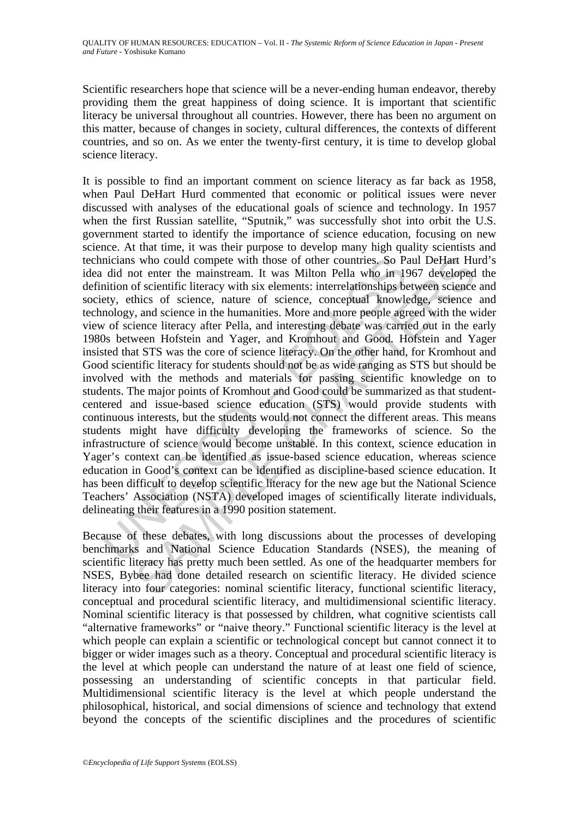Scientific researchers hope that science will be a never-ending human endeavor, thereby providing them the great happiness of doing science. It is important that scientific literacy be universal throughout all countries. However, there has been no argument on this matter, because of changes in society, cultural differences, the contexts of different countries, and so on. As we enter the twenty-first century, it is time to develop global science literacy.

incians who could compete with those of other countries. So Pa<br>
did not enter the mainstream. It was Milton Pella who in 19<br>
mition of scientic literacy with six elements: interelationships be<br>
ety, ethics of science, natu s who could compete with those of other countries. So Paul DeHart Hu<br>of enter the mainstream. It was Milton Pella who in 1967 developed<br>of scientific literacy with six elements; interrelationships between science<br>hies of s It is possible to find an important comment on science literacy as far back as 1958, when Paul DeHart Hurd commented that economic or political issues were never discussed with analyses of the educational goals of science and technology. In 1957 when the first Russian satellite, "Sputnik," was successfully shot into orbit the U.S. government started to identify the importance of science education, focusing on new science. At that time, it was their purpose to develop many high quality scientists and technicians who could compete with those of other countries. So Paul DeHart Hurd's idea did not enter the mainstream. It was Milton Pella who in 1967 developed the definition of scientific literacy with six elements: interrelationships between science and society, ethics of science, nature of science, conceptual knowledge, science and technology, and science in the humanities. More and more people agreed with the wider view of science literacy after Pella, and interesting debate was carried out in the early 1980s between Hofstein and Yager, and Kromhout and Good. Hofstein and Yager insisted that STS was the core of science literacy. On the other hand, for Kromhout and Good scientific literacy for students should not be as wide ranging as STS but should be involved with the methods and materials for passing scientific knowledge on to students. The major points of Kromhout and Good could be summarized as that studentcentered and issue-based science education (STS) would provide students with continuous interests, but the students would not connect the different areas. This means students might have difficulty developing the frameworks of science. So the infrastructure of science would become unstable. In this context, science education in Yager's context can be identified as issue-based science education, whereas science education in Good's context can be identified as discipline-based science education. It has been difficult to develop scientific literacy for the new age but the National Science Teachers' Association (NSTA) developed images of scientifically literate individuals, delineating their features in a 1990 position statement.

Because of these debates, with long discussions about the processes of developing benchmarks and National Science Education Standards (NSES), the meaning of scientific literacy has pretty much been settled. As one of the headquarter members for NSES, Bybee had done detailed research on scientific literacy. He divided science literacy into four categories: nominal scientific literacy, functional scientific literacy, conceptual and procedural scientific literacy, and multidimensional scientific literacy. Nominal scientific literacy is that possessed by children, what cognitive scientists call "alternative frameworks" or "naive theory." Functional scientific literacy is the level at which people can explain a scientific or technological concept but cannot connect it to bigger or wider images such as a theory. Conceptual and procedural scientific literacy is the level at which people can understand the nature of at least one field of science, possessing an understanding of scientific concepts in that particular field. Multidimensional scientific literacy is the level at which people understand the philosophical, historical, and social dimensions of science and technology that extend beyond the concepts of the scientific disciplines and the procedures of scientific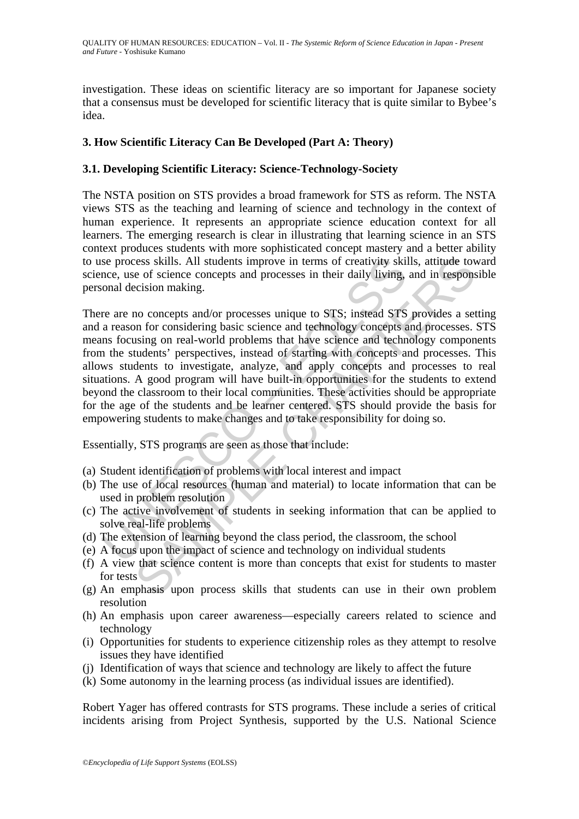investigation. These ideas on scientific literacy are so important for Japanese society that a consensus must be developed for scientific literacy that is quite similar to Bybee's idea.

## **3. How Scientific Literacy Can Be Developed (Part A: Theory)**

#### **3.1. Developing Scientific Literacy: Science-Technology-Society**

The NSTA position on STS provides a broad framework for STS as reform. The NSTA views STS as the teaching and learning of science and technology in the context of human experience. It represents an appropriate science education context for all learners. The emerging research is clear in illustrating that learning science in an STS context produces students with more sophisticated concept mastery and a better ability to use process skills. All students improve in terms of creativity skills, attitude toward science, use of science concepts and processes in their daily living, and in responsible personal decision making.

se process skills. All students improve in terms of creativity skillnee, use of science concepts and processes in their daily living,<br>onal decision making.<br>The are are no concepts and/or processes unique to STS; instead ST consistions. All students improve in terms of creativity skills, attitude to<br>consider the origin of students and processes in their daily living, and in respons-<br>cision making.<br>Consociation divergences unique to STS; inste There are no concepts and/or processes unique to STS; instead STS provides a setting and a reason for considering basic science and technology concepts and processes. STS means focusing on real-world problems that have science and technology components from the students' perspectives, instead of starting with concepts and processes. This allows students to investigate, analyze, and apply concepts and processes to real situations. A good program will have built-in opportunities for the students to extend beyond the classroom to their local communities. These activities should be appropriate for the age of the students and be learner centered. STS should provide the basis for empowering students to make changes and to take responsibility for doing so.

Essentially, STS programs are seen as those that include:

- (a) Student identification of problems with local interest and impact
- (b) The use of local resources (human and material) to locate information that can be used in problem resolution
- (c) The active involvement of students in seeking information that can be applied to solve real-life problems
- (d) The extension of learning beyond the class period, the classroom, the school
- (e) A focus upon the impact of science and technology on individual students
- (f) A view that science content is more than concepts that exist for students to master for tests
- (g) An emphasis upon process skills that students can use in their own problem resolution
- (h) An emphasis upon career awareness—especially careers related to science and technology
- (i) Opportunities for students to experience citizenship roles as they attempt to resolve issues they have identified
- (j) Identification of ways that science and technology are likely to affect the future
- (k) Some autonomy in the learning process (as individual issues are identified).

Robert Yager has offered contrasts for STS programs. These include a series of critical incidents arising from Project Synthesis, supported by the U.S. National Science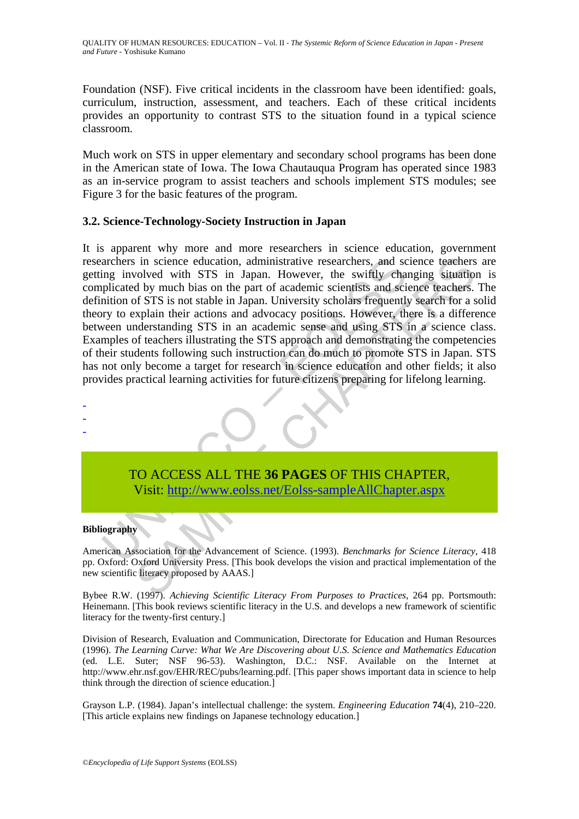Foundation (NSF). Five critical incidents in the classroom have been identified: goals, curriculum, instruction, assessment, and teachers. Each of these critical incidents provides an opportunity to contrast STS to the situation found in a typical science classroom.

Much work on STS in upper elementary and secondary school programs has been done in the American state of Iowa. The Iowa Chautauqua Program has operated since 1983 as an in-service program to assist teachers and schools implement STS modules; see Figure 3 for the basic features of the program.

#### **3.2. Science-Technology-Society Instruction in Japan**

archers in science education, administrative researchers, and sc<br>nig involved with STS in Japan. However, the swiftly chapitalized by much bias on the part of academic scientists and science<br>mition of STS is not stable in is in science education, administrative researchers, and science teachers<br>
coloused with STS in Japan. Universety, the swiftly changing situation<br>
of d by much bias on the part of academic scientists and science teachers<br> It is apparent why more and more researchers in science education, government researchers in science education, administrative researchers, and science teachers are getting involved with STS in Japan. However, the swiftly changing situation is complicated by much bias on the part of academic scientists and science teachers. The definition of STS is not stable in Japan. University scholars frequently search for a solid theory to explain their actions and advocacy positions. However, there is a difference between understanding STS in an academic sense and using STS in a science class. Examples of teachers illustrating the STS approach and demonstrating the competencies of their students following such instruction can do much to promote STS in Japan. STS has not only become a target for research in science education and other fields; it also provides practical learning activities for future citizens preparing for lifelong learning.



Visit: http://www.eolss.net/Eolss-sampleAllChapter.aspx

#### **Bibliography**

- -

American Association for the Advancement of Science. (1993). *Benchmarks for Science Literacy*, 418 pp. Oxford: Oxford University Press. [This book develops the vision and practical implementation of the new scientific literacy proposed by AAAS.]

Bybee R.W. (1997). *Achieving Scientific Literacy From Purposes to Practices*, 264 pp. Portsmouth: Heinemann. [This book reviews scientific literacy in the U.S. and develops a new framework of scientific literacy for the twenty-first century.]

Division of Research, Evaluation and Communication, Directorate for Education and Human Resources (1996). *The Learning Curve: What We Are Discovering about U.S. Science and Mathematics Education* (ed. L.E. Suter; NSF 96-53). Washington, D.C.: NSF. Available on the Internet at http://www.ehr.nsf.gov/EHR/REC/pubs/learning.pdf. [This paper shows important data in science to help think through the direction of science education.]

Grayson L.P. (1984). Japan's intellectual challenge: the system. *Engineering Education* **74**(4), 210–220. [This article explains new findings on Japanese technology education.]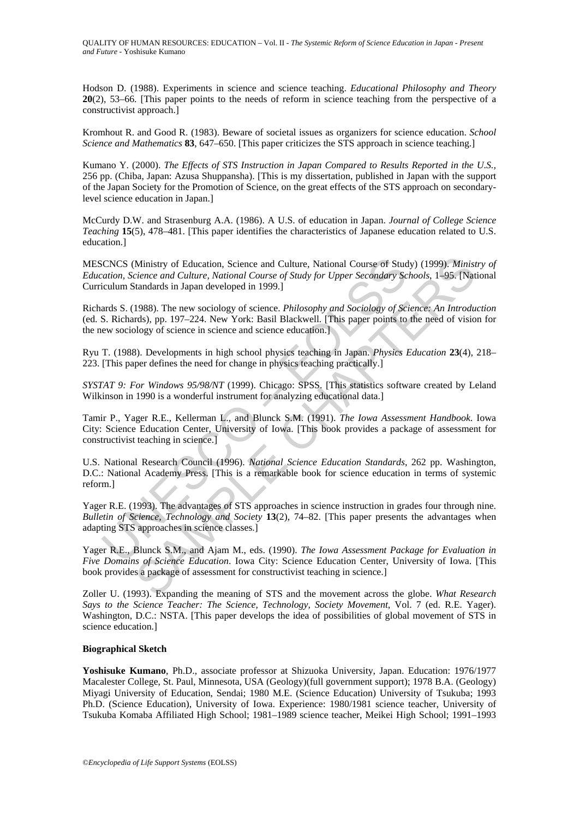Hodson D. (1988). Experiments in science and science teaching. *Educational Philosophy and Theory* **20**(2), 53–66. [This paper points to the needs of reform in science teaching from the perspective of a constructivist approach.]

Kromhout R. and Good R. (1983). Beware of societal issues as organizers for science education. *School Science and Mathematics* **83**, 647–650. [This paper criticizes the STS approach in science teaching.]

Kumano Y. (2000). *The Effects of STS Instruction in Japan Compared to Results Reported in the U.S.,* 256 pp. (Chiba, Japan: Azusa Shuppansha). [This is my dissertation, published in Japan with the support of the Japan Society for the Promotion of Science, on the great effects of the STS approach on secondarylevel science education in Japan.]

McCurdy D.W. and Strasenburg A.A. (1986). A U.S. of education in Japan. *Journal of College Science Teaching* **15**(5), 478–481. [This paper identifies the characteristics of Japanese education related to U.S. education.]

MESCNCS (Ministry of Education, Science and Culture, National Course of Study) (1999). *Ministry of Education, Science and Culture, National Course of Study for Upper Secondary Schools*, 1–95. [National Curriculum Standards in Japan developed in 1999.]

Richards S. (1988). The new sociology of science. *Philosophy and Sociology of Science: An Introduction* (ed. S. Richards), pp. 197–224. New York: Basil Blackwell. [This paper points to the need of vision for the new sociology of science in science and science education.]

Ryu T. (1988). Developments in high school physics teaching in Japan. *Physics Education* **23**(4), 218– 223. [This paper defines the need for change in physics teaching practically.]

*SYSTAT 9: For Windows 95/98/NT* (1999). Chicago: SPSS. [This statistics software created by Leland Wilkinson in 1990 is a wonderful instrument for analyzing educational data.]

CNCS (Ministry of Education, Science and Culture, National Course of Stud<br>
station, Science and Culture, National Course of Study for Upper Secondary Sc<br>
ciculum Standards in Japan developed in 1999.]<br>
ards S. (1988). The Ministry of Education, Science and Culture, National Course of Study) (1999). *Ministance and Culture*, *National Course of Study) (1999). Ministancards in Japan developed in 1999.]*<br>
idandards in Japan developed in 1999.] Tamir P., Yager R.E., Kellerman L., and Blunck S.M. (1991). *The Iowa Assessment Handbook*. Iowa City: Science Education Center, University of Iowa. [This book provides a package of assessment for constructivist teaching in science.]

U.S. National Research Council (1996). *National Science Education Standards*, 262 pp. Washington, D.C.: National Academy Press. [This is a remarkable book for science education in terms of systemic reform.]

Yager R.E. (1993). The advantages of STS approaches in science instruction in grades four through nine. *Bulletin of Science, Technology and Society* **13**(2), 74–82. [This paper presents the advantages when adapting STS approaches in science classes.]

Yager R.E., Blunck S.M., and Ajam M., eds. (1990). *The Iowa Assessment Package for Evaluation in Five Domains of Science Education*. Iowa City: Science Education Center, University of Iowa. [This book provides a package of assessment for constructivist teaching in science.]

Zoller U. (1993). Expanding the meaning of STS and the movement across the globe. *What Research Says to the Science Teacher: The Science, Technology, Society Movement*, Vol. 7 (ed. R.E. Yager). Washington, D.C.: NSTA. [This paper develops the idea of possibilities of global movement of STS in science education.]

#### **Biographical Sketch**

**Yoshisuke Kumano**, Ph.D., associate professor at Shizuoka University, Japan. Education: 1976/1977 Macalester College, St. Paul, Minnesota, USA (Geology)(full government support); 1978 B.A. (Geology) Miyagi University of Education, Sendai; 1980 M.E. (Science Education) University of Tsukuba; 1993 Ph.D. (Science Education), University of Iowa. Experience: 1980/1981 science teacher, University of Tsukuba Komaba Affiliated High School; 1981–1989 science teacher, Meikei High School; 1991–1993